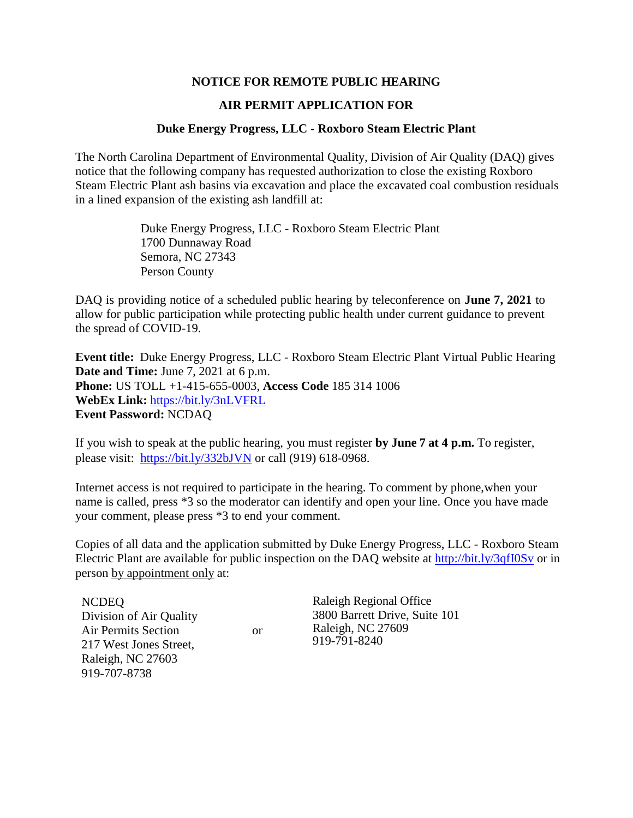## **NOTICE FOR REMOTE PUBLIC HEARING**

## **AIR PERMIT APPLICATION FOR**

## **Duke Energy Progress, LLC - Roxboro Steam Electric Plant**

The North Carolina Department of Environmental Quality, Division of Air Quality (DAQ) gives notice that the following company has requested authorization to close the existing Roxboro Steam Electric Plant ash basins via excavation and place the excavated coal combustion residuals in a lined expansion of the existing ash landfill at:

> Duke Energy Progress, LLC - Roxboro Steam Electric Plant 1700 Dunnaway Road Semora, NC 27343 Person County

DAQ is providing notice of a scheduled public hearing by teleconference on **June 7, 2021** to allow for public participation while protecting public health under current guidance to prevent the spread of COVID-19.

**Event title:** Duke Energy Progress, LLC - Roxboro Steam Electric Plant Virtual Public Hearing **Date and Time:** June 7, 2021 at 6 p.m. **Phone:** US TOLL +1-415-655-0003, **Access Code** 185 314 1006 **WebEx Link:** <https://bit.ly/3nLVFRL> **Event Password:** NCDAQ

If you wish to speak at the public hearing, you must register **by June 7 at 4 p.m.** To register, please visit: https://bit.ly/332bJVN or call (919) 618-0968.

Internet access is not required to participate in the hearing. To comment by phone,when your name is called, press \*3 so the moderator can identify and open your line. Once you have made your comment, please press \*3 to end your comment.

Copies of all data and the application submitted by Duke Energy Progress, LLC - Roxboro Steam Electric Plant are available for public inspection on the DAQ website at<http://bit.ly/3qfI0Sv> or in person by appointment only at:

NCDEQ Division of Air Quality Air Permits Section 217 West Jones Street, Raleigh, NC 27603 919-707-8738

or

Raleigh Regional Office 3800 Barrett Drive, Suite 101 Raleigh, NC 27609 919-791-8240